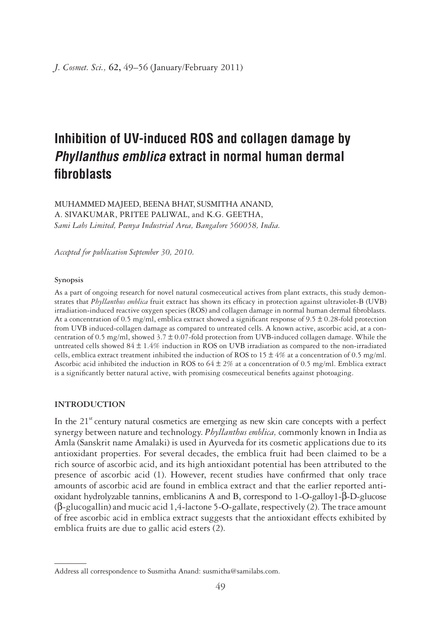# **Inhibition of UV-induced ROS and collagen damage by Phyllanthus emblica extract in normal human dermal fi broblasts**

MUHAMMED MAJEED, BEENA BHAT, SUSMITHA ANAND, A. SIVAKUMAR, PRITEE PALIWAL, and K.G. GEETHA, *Sami Labs Limited, Peenya Industrial Area, Bangalore 560058, India.*

*Accepted for publication September 30, 2010.*

## **Synopsis**

As a part of ongoing research for novel natural cosmeceutical actives from plant extracts, this study demonstrates that *Phyllanthus emblica* fruit extract has shown its efficacy in protection against ultraviolet-B (UVB) irradiation-induced reactive oxygen species (ROS) and collagen damage in normal human dermal fibroblasts. At a concentration of 0.5 mg/ml, emblica extract showed a significant response of  $9.5 \pm 0.28$ -fold protection from UVB induced-collagen damage as compared to untreated cells. A known active, ascorbic acid, at a concentration of 0.5 mg/ml, showed 3.7 ± 0.07-fold protection from UVB-induced collagen damage. While the untreated cells showed  $84 \pm 1.4\%$  induction in ROS on UVB irradiation as compared to the non-irradiated cells, emblica extract treatment inhibited the induction of ROS to  $15 \pm 4\%$  at a concentration of 0.5 mg/ml. Ascorbic acid inhibited the induction in ROS to  $64 \pm 2\%$  at a concentration of 0.5 mg/ml. Emblica extract is a significantly better natural active, with promising cosmeceutical benefits against photoaging.

## **INTRODUCTION**

In the  $21<sup>st</sup>$  century natural cosmetics are emerging as new skin care concepts with a perfect synergy between nature and technology. *Phyllanthus emblica,* commonly known in India as Amla (Sanskrit name Amalaki) is used in Ayurveda for its cosmetic applications due to its antioxidant properties. For several decades, the emblica fruit had been claimed to be a rich source of ascorbic acid, and its high antioxidant potential has been attributed to the presence of ascorbic acid (1). However, recent studies have confirmed that only trace amounts of ascorbic acid are found in emblica extract and that the earlier reported antioxidant hydrolyzable tannins, emblicanins A and B, correspond to 1-O-galloy1-β-D-glucose (β-glucogallin) and mucic acid 1,4-lactone 5-O-gallate, respectively (2). The trace amount of free ascorbic acid in emblica extract suggests that the antioxidant effects exhibited by emblica fruits are due to gallic acid esters (2).

Address all correspondence to Susmitha Anand: susmitha@samilabs.com.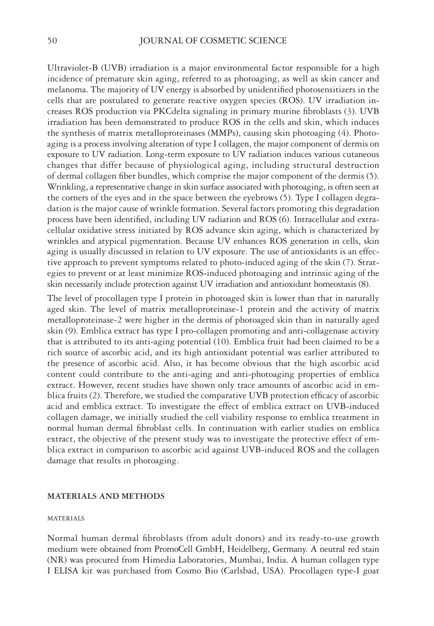Ultraviolet-B (UVB) irradiation is a major environmental factor responsible for a high incidence of premature skin aging, referred to as photoaging, as well as skin cancer and melanoma. The majority of UV energy is absorbed by unidentified photosensitizers in the cells that are postulated to generate reactive oxygen species (ROS). UV irradiation increases ROS production via PKCdelta signaling in primary murine fibroblasts (3). UVB irradiation has been demonstrated to produce ROS in the cells and skin, which induces the synthesis of matrix metalloproteinases (MMPs), causing skin photoaging (4). Photoaging is a process involving alteration of type I collagen, the major component of dermis on exposure to UV radiation. Long-term exposure to UV radiation induces various cutaneous changes that differ because of physiological aging, including structural destruction of dermal collagen fiber bundles, which comprise the major component of the dermis (5). Wrinkling, a representative change in skin surface associated with photoaging, is often seen at the corners of the eyes and in the space between the eyebrows (5). Type I collagen degradation is the major cause of wrinkle formation. Several factors promoting this degradation process have been identified, including UV radiation and ROS (6). Intracellular and extracellular oxidative stress initiated by ROS advance skin aging, which is characterized by wrinkles and atypical pigmentation. Because UV enhances ROS generation in cells, skin aging is usually discussed in relation to UV exposure. The use of antioxidants is an effective approach to prevent symptoms related to photo-induced aging of the skin (7). Strategies to prevent or at least minimize ROS-induced photoaging and intrinsic aging of the skin necessarily include protection against UV irradiation and antioxidant homeostasis (8).

The level of procollagen type I protein in photoaged skin is lower than that in naturally aged skin. The level of matrix metalloproteinase-1 protein and the activity of matrix metalloproteinase-2 were higher in the dermis of photoaged skin than in naturally aged skin (9). Emblica extract has type I pro-collagen promoting and anti-collagenase activity that is attributed to its anti-aging potential (10). Emblica fruit had been claimed to be a rich source of ascorbic acid, and its high antioxidant potential was earlier attributed to the presence of ascorbic acid. Also, it has become obvious that the high ascorbic acid content could contribute to the anti-aging and anti-photoaging properties of emblica extract. However, recent studies have shown only trace amounts of ascorbic acid in emblica fruits (2). Therefore, we studied the comparative UVB protection efficacy of ascorbic acid and emblica extract. To investigate the effect of emblica extract on UVB-induced collagen damage, we initially studied the cell viability response to emblica treatment in normal human dermal fibroblast cells. In continuation with earlier studies on emblica extract, the objective of the present study was to investigate the protective effect of emblica extract in comparison to ascorbic acid against UVB-induced ROS and the collagen damage that results in photoaging.

#### **MATERIALS AND METHODS**

## **MATERIALS**

Normal human dermal fibroblasts (from adult donors) and its ready-to-use growth medium were obtained from PromoCell GmbH, Heidelberg, Germany. A neutral red stain (NR) was procured from Himedia Laboratories, Mumbai, India. A human collagen type I ELISA kit was purchased from Cosmo Bio (Carlsbad, USA). Procollagen type-I goat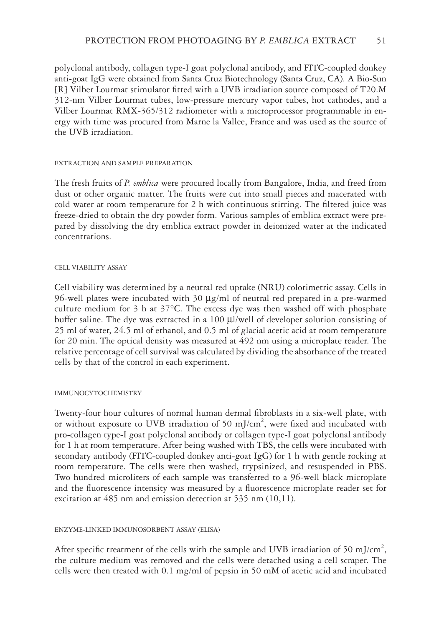polyclonal antibody, collagen type-I goat polyclonal antibody, and FITC-coupled donkey anti-goat IgG were obtained from Santa Cruz Biotechnology (Santa Cruz, CA). A Bio-Sun [R] Vilber Lourmat stimulator fi tted with a UVB irradiation source composed of T20.M 312-nm Vilber Lourmat tubes, low-pressure mercury vapor tubes, hot cathodes, and a Vilber Lourmat RMX-365/312 radiometer with a microprocessor programmable in energy with time was procured from Marne la Vallee, France and was used as the source of the UVB irradiation.

## EXTRACTION AND SAMPLE PREPARATION

The fresh fruits of *P. emblica* were procured locally from Bangalore, India, and freed from dust or other organic matter. The fruits were cut into small pieces and macerated with cold water at room temperature for  $2 h$  with continuous stirring. The filtered juice was freeze-dried to obtain the dry powder form. Various samples of emblica extract were prepared by dissolving the dry emblica extract powder in deionized water at the indicated concentrations.

## CELL VIABILITY ASSAY

Cell viability was determined by a neutral red uptake (NRU) colorimetric assay. Cells in 96-well plates were incubated with 30 μg/ml of neutral red prepared in a pre-warmed culture medium for 3 h at 37°C. The excess dye was then washed off with phosphate buffer saline. The dye was extracted in a 100 μl/well of developer solution consisting of 25 ml of water, 24.5 ml of ethanol, and 0.5 ml of glacial acetic acid at room temperature for 20 min. The optical density was measured at 492 nm using a microplate reader. The relative percentage of cell survival was calculated by dividing the absorbance of the treated cells by that of the control in each experiment.

## IMMUNOCYTOCHEMISTRY

Twenty-four hour cultures of normal human dermal fibroblasts in a six-well plate, with or without exposure to UVB irradiation of 50 mJ/cm<sup>2</sup>, were fixed and incubated with pro-collagen type-I goat polyclonal antibody or collagen type-I goat polyclonal antibody for 1 h at room temperature. After being washed with TBS, the cells were incubated with secondary antibody (FITC-coupled donkey anti-goat IgG) for 1 h with gentle rocking at room temperature. The cells were then washed, trypsinized, and resuspended in PBS. Two hundred microliters of each sample was transferred to a 96-well black microplate and the fluorescence intensity was measured by a fluorescence microplate reader set for excitation at 485 nm and emission detection at 535 nm (10,11).

## ENZYME-LINKED IMMUNOSORBENT ASSAY (ELISA)

After specific treatment of the cells with the sample and UVB irradiation of 50 mJ/cm<sup>2</sup>, the culture medium was removed and the cells were detached using a cell scraper. The cells were then treated with 0.1 mg/ml of pepsin in 50 mM of acetic acid and incubated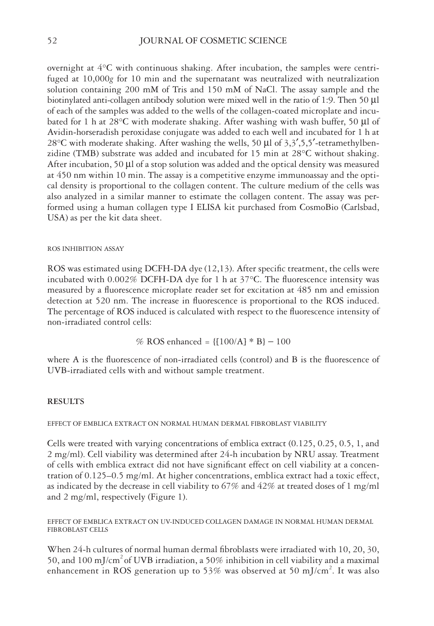overnight at 4°C with continuous shaking. After incubation, the samples were centrifuged at 10,000*g* for 10 min and the supernatant was neutralized with neutralization solution containing 200 mM of Tris and 150 mM of NaCl. The assay sample and the biotinylated anti-collagen antibody solution were mixed well in the ratio of 1:9. Then 50 μl of each of the samples was added to the wells of the collagen-coated microplate and incubated for 1 h at 28°C with moderate shaking. After washing with wash buffer, 50 μl of Avidin-horseradish peroxidase conjugate was added to each well and incubated for 1 h at 28 $\degree$ C with moderate shaking. After washing the wells, 50  $\mu$ l of 3,3',5,5'-tetramethylbenzidine (TMB) substrate was added and incubated for 15 min at 28°C without shaking. After incubation, 50 μl of a stop solution was added and the optical density was measured at 450 nm within 10 min. The assay is a competitive enzyme immunoassay and the optical density is proportional to the collagen content. The culture medium of the cells was also analyzed in a similar manner to estimate the collagen content. The assay was performed using a human collagen type I ELISA kit purchased from CosmoBio (Carlsbad, USA) as per the kit data sheet.

## ROS INHIBITION ASSAY

ROS was estimated using DCFH-DA dye  $(12,13)$ . After specific treatment, the cells were incubated with  $0.002\%$  DCFH-DA dye for 1 h at  $37^{\circ}$ C. The fluorescence intensity was measured by a fluorescence microplate reader set for excitation at 485 nm and emission detection at 520 nm. The increase in fluorescence is proportional to the ROS induced. The percentage of ROS induced is calculated with respect to the fluorescence intensity of non-irradiated control cells:

% ROS enhanced = {[100/A] \* B} − 100

where A is the fluorescence of non-irradiated cells (control) and B is the fluorescence of UVB-irradiated cells with and without sample treatment.

## **RESULTS**

EFFECT OF EMBLICA EXTRACT ON NORMAL HUMAN DERMAL FIBROBLAST VIABILITY

Cells were treated with varying concentrations of emblica extract (0.125, 0.25, 0.5, 1, and 2 mg/ml). Cell viability was determined after 24-h incubation by NRU assay. Treatment of cells with emblica extract did not have significant effect on cell viability at a concentration of 0.125–0.5 mg/ml. At higher concentrations, emblica extract had a toxic effect, as indicated by the decrease in cell viability to 67% and 42% at treated doses of 1 mg/ml and 2 mg/ml, respectively (Figure 1).

EFFECT OF EMBLICA EXTRACT ON UV-INDUCED COLLAGEN DAMAGE IN NORMAL HUMAN DERMAL FIBROBLAST CELLS

When 24-h cultures of normal human dermal fibroblasts were irradiated with 10, 20, 30, 50, and 100 mJ/cm<sup>2</sup> of UVB irradiation, a 50% inhibition in cell viability and a maximal enhancement in ROS generation up to 53% was observed at 50 mJ/cm<sup>2</sup>. It was also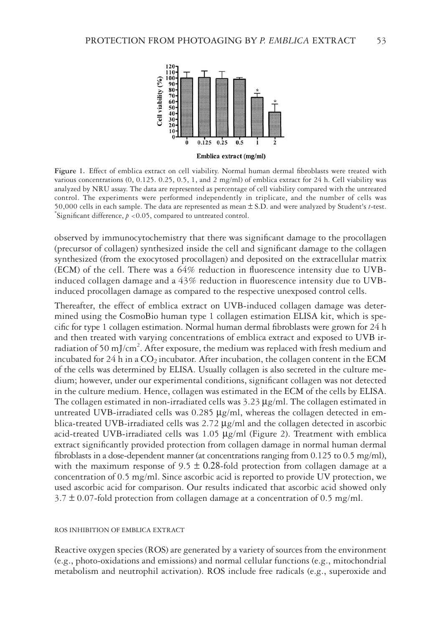

Figure 1. Effect of emblica extract on cell viability. Normal human dermal fibroblasts were treated with various concentrations (0, 0.125. 0.25, 0.5, 1, and 2 mg/ml) of emblica extract for 24 h. Cell viability was analyzed by NRU assay. The data are represented as percentage of cell viability compared with the untreated control. The experiments were performed independently in triplicate, and the number of cells was 50,000 cells in each sample. The data are represented as mean ± S.D. and were analyzed by Student's *<sup>t</sup>*-test. \*

Significant difference,  $p < 0.05$ , compared to untreated control.

observed by immunocytochemistry that there was significant damage to the procollagen (precursor of collagen) synthesized inside the cell and significant damage to the collagen synthesized (from the exocytosed procollagen) and deposited on the extracellular matrix  $(ECM)$  of the cell. There was a 64% reduction in fluorescence intensity due to UVBinduced collagen damage and a  $43\%$  reduction in fluorescence intensity due to UVBinduced procollagen damage as compared to the respective unexposed control cells.

Thereafter, the effect of emblica extract on UVB-induced collagen damage was determined using the CosmoBio human type 1 collagen estimation ELISA kit, which is specific for type 1 collagen estimation. Normal human dermal fibroblasts were grown for  $24$  h and then treated with varying concentrations of emblica extract and exposed to UVB irradiation of 50 mJ/cm<sup>2</sup>. After exposure, the medium was replaced with fresh medium and incubated for  $24$  h in a  $CO<sub>2</sub>$  incubator. After incubation, the collagen content in the ECM of the cells was determined by ELISA. Usually collagen is also secreted in the culture medium; however, under our experimental conditions, significant collagen was not detected in the culture medium. Hence, collagen was estimated in the ECM of the cells by ELISA. The collagen estimated in non-irradiated cells was  $3.23 \mu g/ml$ . The collagen estimated in untreated UVB-irradiated cells was  $0.285 \mu g/ml$ , whereas the collagen detected in emblica-treated UVB-irradiated cells was 2.72 μg/ml and the collagen detected in ascorbic acid-treated UVB-irradiated cells was  $1.05 \mu g/ml$  (Figure 2). Treatment with emblica extract significantly provided protection from collagen damage in normal human dermal fibroblasts in a dose-dependent manner (at concentrations ranging from  $0.125$  to  $0.5$  mg/ml), with the maximum response of  $9.5 \pm 0.28$ -fold protection from collagen damage at a concentration of 0.5 mg/ml. Since ascorbic acid is reported to provide UV protection, we used ascorbic acid for comparison. Our results indicated that ascorbic acid showed only  $3.7 \pm 0.07$ -fold protection from collagen damage at a concentration of 0.5 mg/ml.

# ROS INHIBITION OF EMBLICA EXTRACT

Reactive oxygen species (ROS) are generated by a variety of sources from the environment (e.g., photo-oxidations and emissions) and normal cellular functions (e.g., mitochondrial metabolism and neutrophil activation). ROS include free radicals (e.g., superoxide and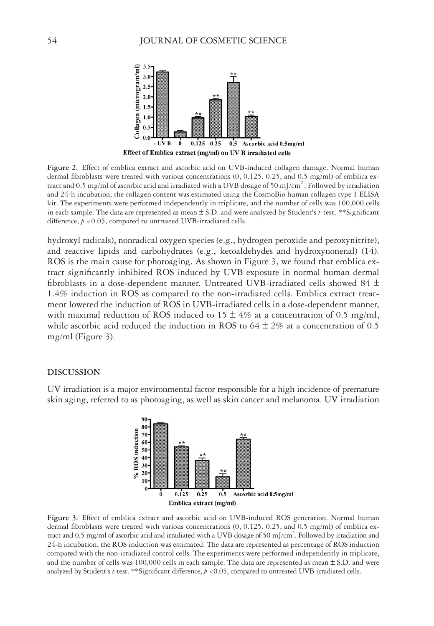

**Figure 2.** Effect of emblica extract and ascorbic acid on UVB-induced collagen damage. Normal human dermal fibroblasts were treated with various concentrations (0, 0.125. 0.25, and 0.5 mg/ml) of emblica extract and 0.5 mg/ml of ascorbic acid and irradiated with a UVB dosage of 50 mJ/cm<sup>2</sup>. Followed by irradiation and 24-h incubation, the collagen content was estimated using the CosmoBio human collagen type 1 ELISA kit. The experiments were performed independently in triplicate, and the number of cells was 100,000 cells in each sample. The data are represented as mean  $\pm$  S.D. and were analyzed by Student's *t*-test. \*\*Significant difference,  $p < 0.05$ , compared to untreated UVB-irradiated cells.

hydroxyl radicals), nonradical oxygen species (e.g., hydrogen peroxide and peroxynitrite), and reactive lipids and carbohydrates (e.g., ketoaldehydes and hydroxynonenal) (14). ROS is the main cause for photoaging. As shown in Figure 3, we found that emblica extract significantly inhibited ROS induced by UVB exposure in normal human dermal fibroblasts in a dose-dependent manner. Untreated UVB-irradiated cells showed 84  $\pm$ 1.4% induction in ROS as compared to the non-irradiated cells. Emblica extract treatment lowered the induction of ROS in UVB-irradiated cells in a dose-dependent manner, with maximal reduction of ROS induced to  $15 \pm 4\%$  at a concentration of 0.5 mg/ml, while ascorbic acid reduced the induction in ROS to  $64 \pm 2\%$  at a concentration of 0.5 mg/ml (Figure 3).

#### **DISCUSSION**

UV irradiation is a major environmental factor responsible for a high incidence of premature skin aging, referred to as photoaging, as well as skin cancer and melanoma. UV irradiation



**Figure 3.** Effect of emblica extract and ascorbic acid on UVB-induced ROS generation. Normal human dermal fibroblasts were treated with various concentrations (0, 0.125. 0.25, and 0.5 mg/ml) of emblica extract and 0.5 mg/ml of ascorbic acid and irradiated with a UVB dosage of 50 mJ/cm<sup>2</sup>. Followed by irradiation and 24-h incubation, the ROS induction was estimated. The data are represented as percentage of ROS induction compared with the non-irradiated control cells. The experiments were performed independently in triplicate, and the number of cells was 100,000 cells in each sample. The data are represented as mean  $\pm$  S.D. and were analyzed by Student's *t*-test. \*\*Significant difference,  $p < 0.05$ , compared to untreated UVB-irradiated cells.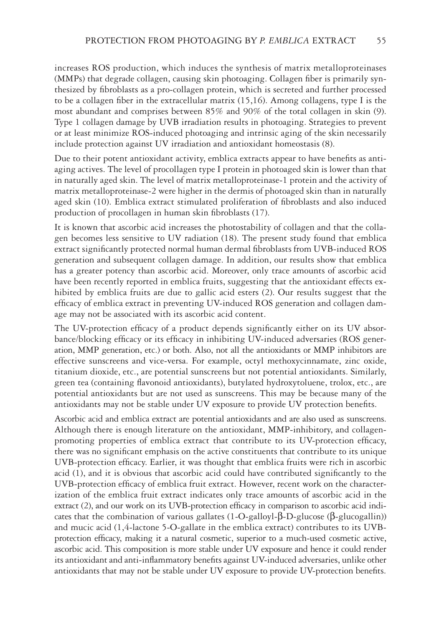increases ROS production, which induces the synthesis of matrix metalloproteinases (MMPs) that degrade collagen, causing skin photoaging. Collagen fiber is primarily synthesized by fibroblasts as a pro-collagen protein, which is secreted and further processed to be a collagen fiber in the extracellular matrix  $(15,16)$ . Among collagens, type I is the most abundant and comprises between 85% and 90% of the total collagen in skin (9). Type 1 collagen damage by UVB irradiation results in photoaging. Strategies to prevent or at least minimize ROS-induced photoaging and intrinsic aging of the skin necessarily include protection against UV irradiation and antioxidant homeostasis (8).

Due to their potent antioxidant activity, emblica extracts appear to have benefits as antiaging actives. The level of procollagen type I protein in photoaged skin is lower than that in naturally aged skin. The level of matrix metalloproteinase-1 protein and the activity of matrix metalloproteinase-2 were higher in the dermis of photoaged skin than in naturally aged skin (10). Emblica extract stimulated proliferation of fibroblasts and also induced production of procollagen in human skin fibroblasts (17).

It is known that ascorbic acid increases the photostability of collagen and that the collagen becomes less sensitive to UV radiation (18). The present study found that emblica extract significantly protected normal human dermal fibroblasts from UVB-induced ROS generation and subsequent collagen damage. In addition, our results show that emblica has a greater potency than ascorbic acid. Moreover, only trace amounts of ascorbic acid have been recently reported in emblica fruits, suggesting that the antioxidant effects exhibited by emblica fruits are due to gallic acid esters (2). Our results suggest that the efficacy of emblica extract in preventing UV-induced ROS generation and collagen damage may not be associated with its ascorbic acid content.

The UV-protection efficacy of a product depends significantly either on its UV absorbance/blocking efficacy or its efficacy in inhibiting UV-induced adversaries (ROS generation, MMP generation, etc.) or both. Also, not all the antioxidants or MMP inhibitors are effective sunscreens and vice-versa. For example, octyl methoxycinnamate, zinc oxide, titanium dioxide, etc., are potential sunscreens but not potential antioxidants. Similarly, green tea (containing flavonoid antioxidants), butylated hydroxytoluene, trolox, etc., are potential antioxidants but are not used as sunscreens. This may be because many of the antioxidants may not be stable under UV exposure to provide UV protection benefits.

Ascorbic acid and emblica extract are potential antioxidants and are also used as sunscreens. Although there is enough literature on the antioxidant, MMP-inhibitory, and collagenpromoting properties of emblica extract that contribute to its UV-protection efficacy, there was no significant emphasis on the active constituents that contribute to its unique UVB-protection efficacy. Earlier, it was thought that emblica fruits were rich in ascorbic acid  $(1)$ , and it is obvious that ascorbic acid could have contributed significantly to the UVB-protection efficacy of emblica fruit extract. However, recent work on the characterization of the emblica fruit extract indicates only trace amounts of ascorbic acid in the extract (2), and our work on its UVB-protection efficacy in comparison to ascorbic acid indicates that the combination of various gallates  $(1-O-galloyl-\beta-D-glucoge(\beta-glucogallin))$ and mucic acid (1,4-lactone 5-O-gallate in the emblica extract) contributes to its UVBprotection efficacy, making it a natural cosmetic, superior to a much-used cosmetic active, ascorbic acid. This composition is more stable under UV exposure and hence it could render its antioxidant and anti-inflammatory benefits against UV-induced adversaries, unlike other antioxidants that may not be stable under UV exposure to provide UV-protection benefits.